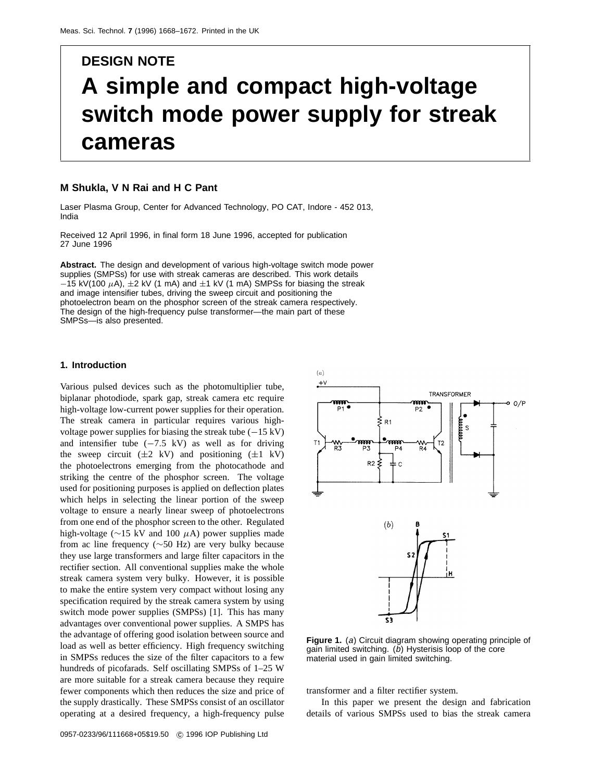# **DESIGN NOTE A simple and compact high-voltage switch mode power supply for streak cameras**

#### **M Shukla, V N Rai and H C Pant**

Laser Plasma Group, Center for Advanced Technology, PO CAT, Indore - 452 013, India

Received 12 April 1996, in final form 18 June 1996, accepted for publication 27 June 1996

**Abstract.** The design and development of various high-voltage switch mode power supplies (SMPSs) for use with streak cameras are described. This work details −15 kV(100 *µ*A), ±2 kV (1 mA) and ±1 kV (1 mA) SMPSs for biasing the streak and image intensifier tubes, driving the sweep circuit and positioning the photoelectron beam on the phosphor screen of the streak camera respectively. The design of the high-frequency pulse transformer—the main part of these SMPSs—is also presented.

#### **1. Introduction**

Various pulsed devices such as the photomultiplier tube, biplanar photodiode, spark gap, streak camera etc require high-voltage low-current power supplies for their operation. The streak camera in particular requires various highvoltage power supplies for biasing the streak tube  $(-15 \text{ kV})$ and intensifier tube (−7*.*5 kV) as well as for driving the sweep circuit  $(\pm 2 \text{ kV})$  and positioning  $(\pm 1 \text{ kV})$ the photoelectrons emerging from the photocathode and striking the centre of the phosphor screen. The voltage used for positioning purposes is applied on deflection plates which helps in selecting the linear portion of the sweep voltage to ensure a nearly linear sweep of photoelectrons from one end of the phosphor screen to the other. Regulated high-voltage (∼15 kV and 100 *µ*A) power supplies made from ac line frequency (∼50 Hz) are very bulky because they use large transformers and large filter capacitors in the rectifier section. All conventional supplies make the whole streak camera system very bulky. However, it is possible to make the entire system very compact without losing any specification required by the streak camera system by using switch mode power supplies (SMPSs) [1]. This has many advantages over conventional power supplies. A SMPS has the advantage of offering good isolation between source and load as well as better efficiency. High frequency switching in SMPSs reduces the size of the filter capacitors to a few hundreds of picofarads. Self oscillating SMPSs of 1–25 W are more suitable for a streak camera because they require fewer components which then reduces the size and price of the supply drastically. These SMPSs consist of an oscillator operating at a desired frequency, a high-frequency pulse



**Figure 1.** (a) Circuit diagram showing operating principle of gain limited switching. (b) Hysterisis loop of the core material used in gain limited switching.

transformer and a filter rectifier system.

In this paper we present the design and fabrication details of various SMPSs used to bias the streak camera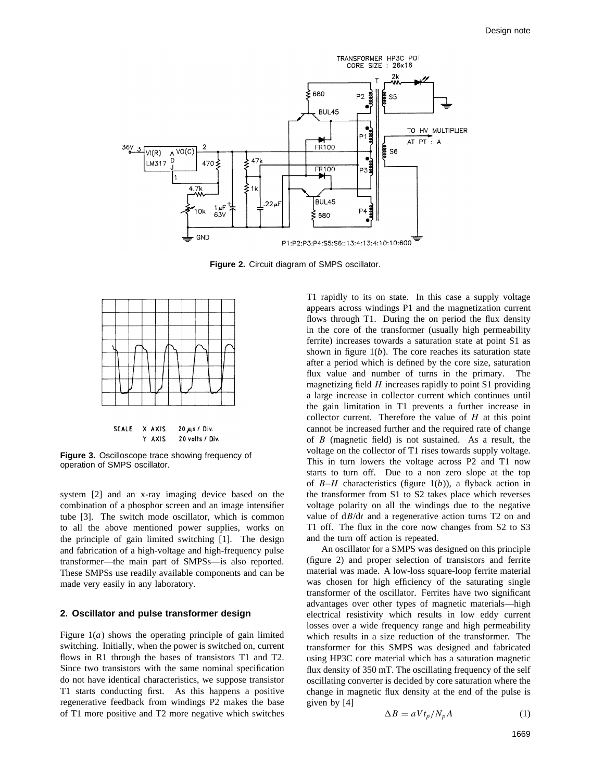

**Figure 2.** Circuit diagram of SMPS oscillator.



**Figure 3.** Oscilloscope trace showing frequency of operation of SMPS oscillator.

system [2] and an x-ray imaging device based on the combination of a phosphor screen and an image intensifier tube [3]. The switch mode oscillator, which is common to all the above mentioned power supplies, works on the principle of gain limited switching [1]. The design and fabrication of a high-voltage and high-frequency pulse transformer—the main part of SMPSs—is also reported. These SMPSs use readily available components and can be made very easily in any laboratory.

## **2. Oscillator and pulse transformer design**

Figure  $1(a)$  shows the operating principle of gain limited switching. Initially, when the power is switched on, current flows in R1 through the bases of transistors T1 and T2. Since two transistors with the same nominal specification do not have identical characteristics, we suppose transistor T1 starts conducting first. As this happens a positive regenerative feedback from windings P2 makes the base of T1 more positive and T2 more negative which switches T1 rapidly to its on state. In this case a supply voltage appears across windings P1 and the magnetization current flows through T1. During the on period the flux density in the core of the transformer (usually high permeability ferrite) increases towards a saturation state at point S1 as shown in figure 1(*b*). The core reaches its saturation state after a period which is defined by the core size, saturation flux value and number of turns in the primary. The magnetizing field *H* increases rapidly to point S1 providing a large increase in collector current which continues until the gain limitation in T1 prevents a further increase in collector current. Therefore the value of *H* at this point cannot be increased further and the required rate of change of *B* (magnetic field) is not sustained. As a result, the voltage on the collector of T1 rises towards supply voltage. This in turn lowers the voltage across P2 and T1 now starts to turn off. Due to a non zero slope at the top of *B*–*H* characteristics (figure 1(*b*)), a flyback action in the transformer from S1 to S2 takes place which reverses voltage polarity on all the windings due to the negative value of d*B*/d*t* and a regenerative action turns T2 on and T1 off. The flux in the core now changes from S2 to S3 and the turn off action is repeated.

An oscillator for a SMPS was designed on this principle (figure 2) and proper selection of transistors and ferrite material was made. A low-loss square-loop ferrite material was chosen for high efficiency of the saturating single transformer of the oscillator. Ferrites have two significant advantages over other types of magnetic materials—high electrical resistivity which results in low eddy current losses over a wide frequency range and high permeability which results in a size reduction of the transformer. The transformer for this SMPS was designed and fabricated using HP3C core material which has a saturation magnetic flux density of 350 mT. The oscillating frequency of the self oscillating converter is decided by core saturation where the change in magnetic flux density at the end of the pulse is given by [4]

$$
\Delta B = a V t_p / N_p A \tag{1}
$$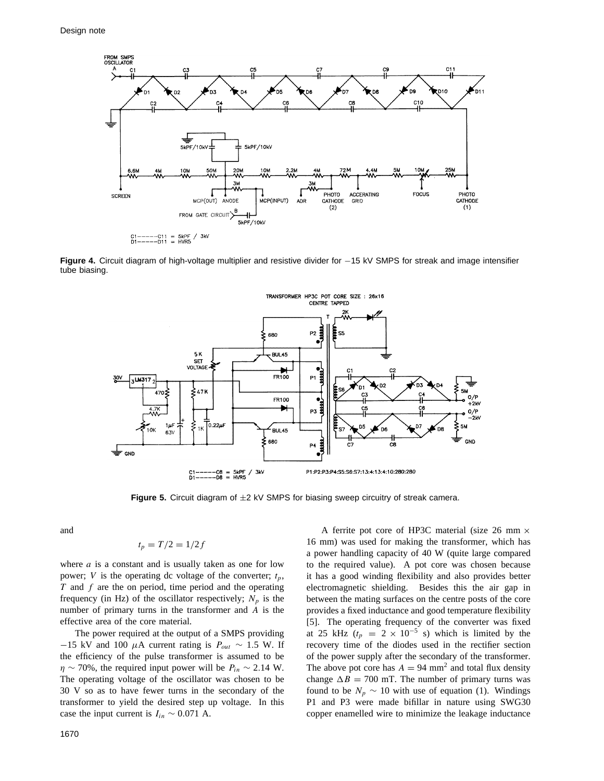

**Figure 4.** Circuit diagram of high-voltage multiplier and resistive divider for −15 kV SMPS for streak and image intensifier tube biasing.



Figure 5. Circuit diagram of  $\pm 2$  kV SMPS for biasing sweep circuitry of streak camera.

and

$$
t_p = T/2 = 1/2f
$$

where *a* is a constant and is usually taken as one for low power; *V* is the operating dc voltage of the converter;  $t_p$ , *T* and *f* are the on period, time period and the operating frequency (in Hz) of the oscillator respectively;  $N_p$  is the number of primary turns in the transformer and *A* is the effective area of the core material.

The power required at the output of a SMPS providing  $-15$  kV and 100  $\mu$ A current rating is  $P_{out} \sim 1.5$  W. If the efficiency of the pulse transformer is assumed to be  $\eta \sim 70\%$ , the required input power will be  $P_{in} \sim 2.14$  W. The operating voltage of the oscillator was chosen to be 30 V so as to have fewer turns in the secondary of the transformer to yield the desired step up voltage. In this case the input current is  $I_{in} \sim 0.071$  A.

A ferrite pot core of HP3C material (size 26 mm  $\times$ 16 mm) was used for making the transformer, which has a power handling capacity of 40 W (quite large compared to the required value). A pot core was chosen because it has a good winding flexibility and also provides better electromagnetic shielding. Besides this the air gap in between the mating surfaces on the centre posts of the core provides a fixed inductance and good temperature flexibility [5]. The operating frequency of the converter was fixed at 25 kHz ( $t_p = 2 \times 10^{-5}$  s) which is limited by the recovery time of the diodes used in the rectifier section of the power supply after the secondary of the transformer. The above pot core has  $A = 94$  mm<sup>2</sup> and total flux density change  $\Delta B = 700$  mT. The number of primary turns was found to be  $N_p \sim 10$  with use of equation (1). Windings P1 and P3 were made bifillar in nature using SWG30 copper enamelled wire to minimize the leakage inductance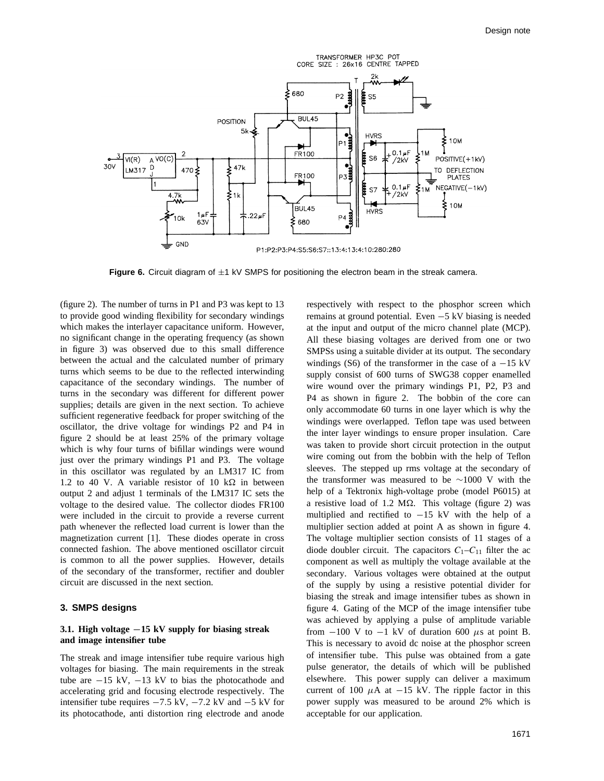

**Figure 6.** Circuit diagram of  $\pm 1$  kV SMPS for positioning the electron beam in the streak camera.

(figure 2). The number of turns in P1 and P3 was kept to 13 to provide good winding flexibility for secondary windings which makes the interlayer capacitance uniform. However, no significant change in the operating frequency (as shown in figure 3) was observed due to this small difference between the actual and the calculated number of primary turns which seems to be due to the reflected interwinding capacitance of the secondary windings. The number of turns in the secondary was different for different power supplies; details are given in the next section. To achieve sufficient regenerative feedback for proper switching of the oscillator, the drive voltage for windings P2 and P4 in figure 2 should be at least 25% of the primary voltage which is why four turns of bifillar windings were wound just over the primary windings P1 and P3. The voltage in this oscillator was regulated by an LM317 IC from 1.2 to 40 V. A variable resistor of 10  $k\Omega$  in between output 2 and adjust 1 terminals of the LM317 IC sets the voltage to the desired value. The collector diodes FR100 were included in the circuit to provide a reverse current path whenever the reflected load current is lower than the magnetization current [1]. These diodes operate in cross connected fashion. The above mentioned oscillator circuit is common to all the power supplies. However, details of the secondary of the transformer, rectifier and doubler circuit are discussed in the next section.

# **3. SMPS designs**

#### **3.1. High voltage** *−***15 kV supply for biasing streak and image intensifier tube**

The streak and image intensifier tube require various high voltages for biasing. The main requirements in the streak tube are  $-15$  kV,  $-13$  kV to bias the photocathode and accelerating grid and focusing electrode respectively. The intensifier tube requires  $-7.5$  kV,  $-7.2$  kV and  $-5$  kV for its photocathode, anti distortion ring electrode and anode

respectively with respect to the phosphor screen which remains at ground potential. Even −5 kV biasing is needed at the input and output of the micro channel plate (MCP). All these biasing voltages are derived from one or two SMPSs using a suitable divider at its output. The secondary windings (S6) of the transformer in the case of a  $-15$  kV supply consist of 600 turns of SWG38 copper enamelled wire wound over the primary windings P1, P2, P3 and P4 as shown in figure 2. The bobbin of the core can only accommodate 60 turns in one layer which is why the windings were overlapped. Teflon tape was used between the inter layer windings to ensure proper insulation. Care was taken to provide short circuit protection in the output wire coming out from the bobbin with the help of Teflon sleeves. The stepped up rms voltage at the secondary of the transformer was measured to be ∼1000 V with the help of a Tektronix high-voltage probe (model P6015) at a resistive load of 1.2  $M\Omega$ . This voltage (figure 2) was multiplied and rectified to  $-15$  kV with the help of a multiplier section added at point A as shown in figure 4. The voltage multiplier section consists of 11 stages of a diode doubler circuit. The capacitors  $C_1 - C_{11}$  filter the ac component as well as multiply the voltage available at the secondary. Various voltages were obtained at the output of the supply by using a resistive potential divider for biasing the streak and image intensifier tubes as shown in figure 4. Gating of the MCP of the image intensifier tube was achieved by applying a pulse of amplitude variable from  $-100$  V to  $-1$  kV of duration 600  $\mu$ s at point B. This is necessary to avoid dc noise at the phosphor screen of intensifier tube. This pulse was obtained from a gate pulse generator, the details of which will be published elsewhere. This power supply can deliver a maximum current of 100  $\mu$ A at −15 kV. The ripple factor in this power supply was measured to be around 2% which is acceptable for our application.